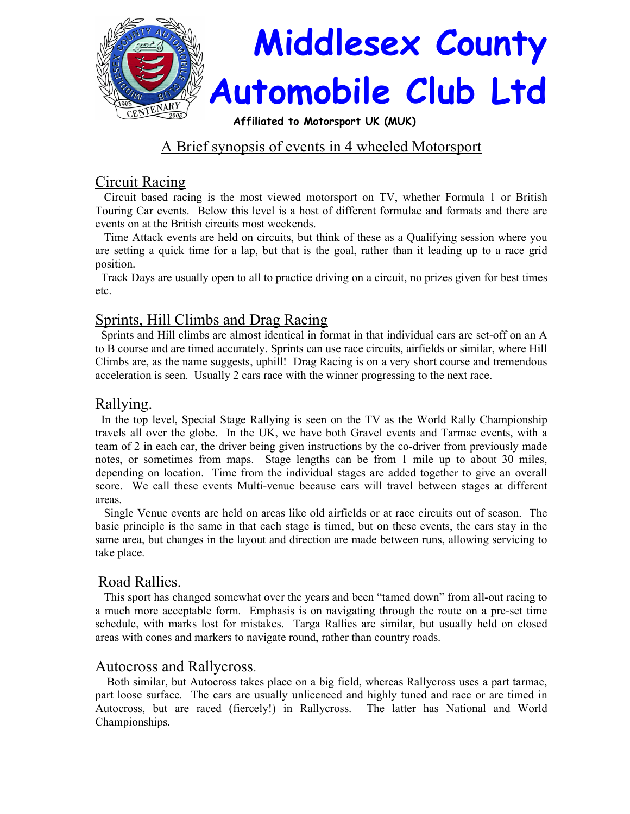

# A Brief synopsis of events in 4 wheeled Motorsport

# Circuit Racing

 Circuit based racing is the most viewed motorsport on TV, whether Formula 1 or British Touring Car events. Below this level is a host of different formulae and formats and there are events on at the British circuits most weekends.

 Time Attack events are held on circuits, but think of these as a Qualifying session where you are setting a quick time for a lap, but that is the goal, rather than it leading up to a race grid position.

 Track Days are usually open to all to practice driving on a circuit, no prizes given for best times etc.

# Sprints, Hill Climbs and Drag Racing

 Sprints and Hill climbs are almost identical in format in that individual cars are set-off on an A to B course and are timed accurately. Sprints can use race circuits, airfields or similar, where Hill Climbs are, as the name suggests, uphill! Drag Racing is on a very short course and tremendous acceleration is seen. Usually 2 cars race with the winner progressing to the next race.

### Rallying.

 In the top level, Special Stage Rallying is seen on the TV as the World Rally Championship travels all over the globe. In the UK, we have both Gravel events and Tarmac events, with a team of 2 in each car, the driver being given instructions by the co-driver from previously made notes, or sometimes from maps. Stage lengths can be from 1 mile up to about 30 miles, depending on location. Time from the individual stages are added together to give an overall score. We call these events Multi-venue because cars will travel between stages at different areas.

 Single Venue events are held on areas like old airfields or at race circuits out of season. The basic principle is the same in that each stage is timed, but on these events, the cars stay in the same area, but changes in the layout and direction are made between runs, allowing servicing to take place.

# Road Rallies.

 This sport has changed somewhat over the years and been "tamed down" from all-out racing to a much more acceptable form. Emphasis is on navigating through the route on a pre-set time schedule, with marks lost for mistakes. Targa Rallies are similar, but usually held on closed areas with cones and markers to navigate round, rather than country roads.

### Autocross and Rallycross.

 Both similar, but Autocross takes place on a big field, whereas Rallycross uses a part tarmac, part loose surface. The cars are usually unlicenced and highly tuned and race or are timed in Autocross, but are raced (fiercely!) in Rallycross. The latter has National and World Championships.